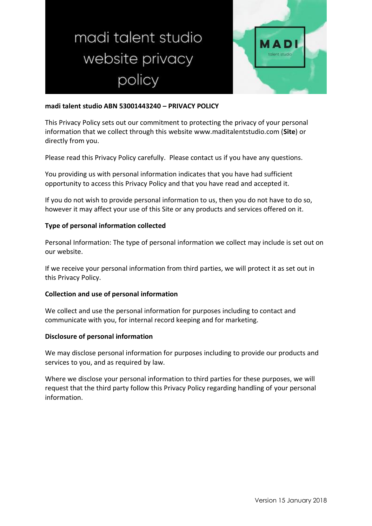# madi talent studio website privacy policy



## **madi talent studio ABN 53001443240 – PRIVACY POLICY**

This Privacy Policy sets out our commitment to protecting the privacy of your personal information that we collect through this website www.maditalentstudio.com (**Site**) or directly from you.

Please read this Privacy Policy carefully. Please contact us if you have any questions.

You providing us with personal information indicates that you have had sufficient opportunity to access this Privacy Policy and that you have read and accepted it.

If you do not wish to provide personal information to us, then you do not have to do so, however it may affect your use of this Site or any products and services offered on it.

## **Type of personal information collected**

Personal Information: The type of personal information we collect may include is set out on our website.

If we receive your personal information from third parties, we will protect it as set out in this Privacy Policy.

## **Collection and use of personal information**

We collect and use the personal information for purposes including to contact and communicate with you, for internal record keeping and for marketing.

## **Disclosure of personal information**

We may disclose personal information for purposes including to provide our products and services to you, and as required by law.

Where we disclose your personal information to third parties for these purposes, we will request that the third party follow this Privacy Policy regarding handling of your personal information.